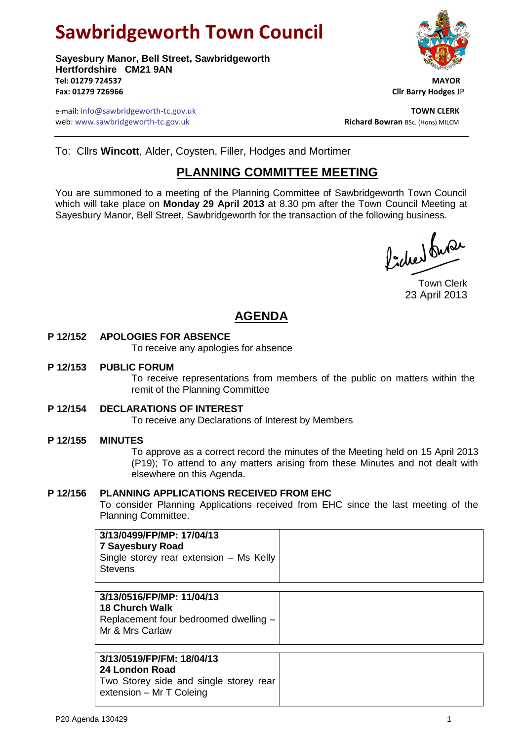# **Sawbridgeworth Town Council**

**Sayesbury Manor, Bell Street, Sawbridgeworth Hertfordshire CM21 9AN Tel: 01279 724537 MAYOR Fax: 01279 726966 Cllr Barry Hodges** JP

e-mail: info@sawbridgeworth-tc.gov.uk<br>**Web:** www.sawbridgeworth-tc.gov.uk **TOWN CLERK**<br>**Richard Bowran** BSc. (Hons) MILCM web: www.sawbridgeworth-tc.gov.uk



To: Cllrs **Wincott**, Alder, Coysten, Filler, Hodges and Mortimer

## **PLANNING COMMITTEE MEETING**

You are summoned to a meeting of the Planning Committee of Sawbridgeworth Town Council which will take place on **Monday 29 April 2013** at 8.30 pm after the Town Council Meeting at Sayesbury Manor, Bell Street, Sawbridgeworth for the transaction of the following business.

ladres burer

Town Clerk 23 April 2013

## **AGENDA**

### **P 12/152 APOLOGIES FOR ABSENCE**

To receive any apologies for absence

#### **P 12/153 PUBLIC FORUM**

To receive representations from members of the public on matters within the remit of the Planning Committee

**P 12/154 DECLARATIONS OF INTEREST**

To receive any Declarations of Interest by Members

#### **P 12/155 MINUTES**

To approve as a correct record the minutes of the Meeting held on 15 April 2013 (P19); To attend to any matters arising from these Minutes and not dealt with elsewhere on this Agenda.

#### **P 12/156 PLANNING APPLICATIONS RECEIVED FROM EHC**

To consider Planning Applications received from EHC since the last meeting of the Planning Committee.

| 3/13/0516/FP/MP: 11/04/13             |
|---------------------------------------|
| 18 Church Walk                        |
| Replacement four bedroomed dwelling - |
| Mr & Mrs Carlaw                       |
|                                       |

#### **3/13/0519/FP/FM: 18/04/13**

**24 London Road**

| בד בטוועטוו ו <i>ו</i> טפע |                                        |  |  |  |  |  |
|----------------------------|----------------------------------------|--|--|--|--|--|
|                            | Two Storey side and single storey rear |  |  |  |  |  |
|                            | extension – Mr T Coleing               |  |  |  |  |  |